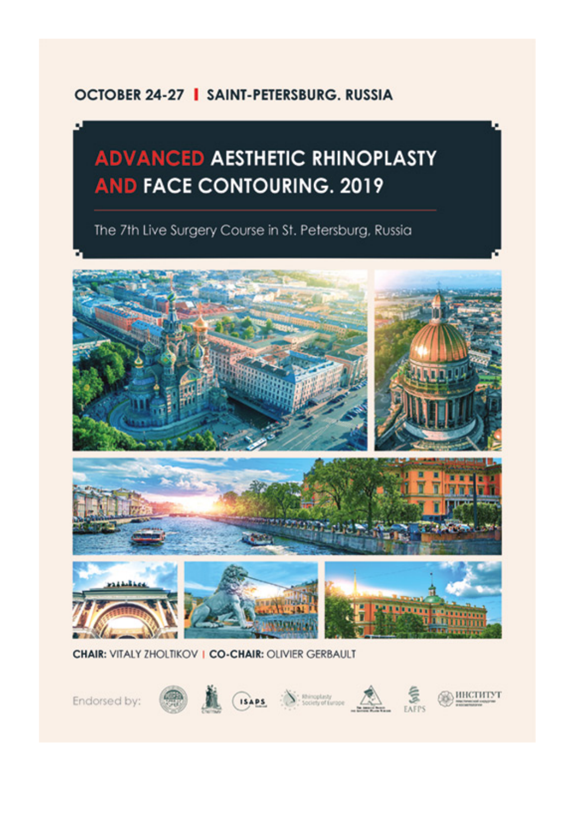#### **OCTOBER 24-27 | SAINT-PETERSBURG, RUSSIA**

## **ADVANCED AESTHETIC RHINOPLASTY AND FACE CONTOURING. 2019**

The 7th Live Surgery Course in St. Petersburg, Russia





**CHAIR: VITALY ZHOLTIKOV | CO-CHAIR: OLIVIER GERBAULT** 

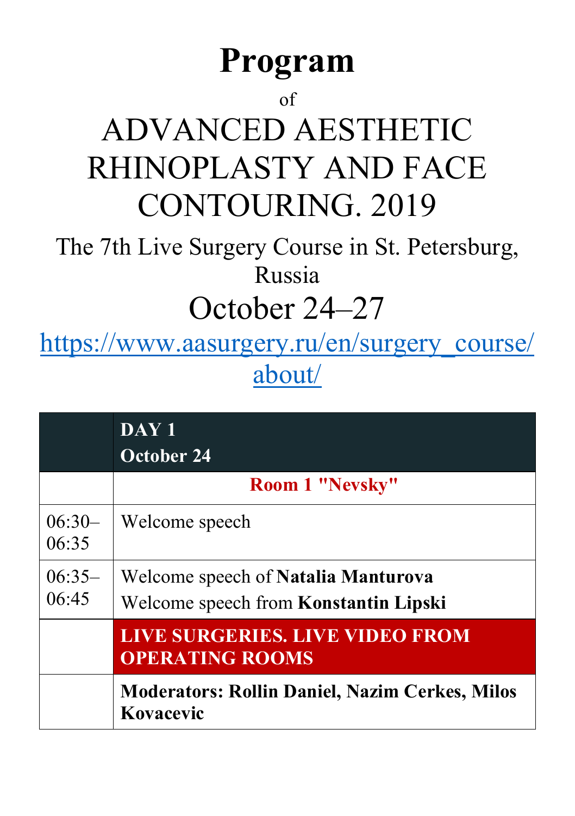# **Program**

### of

# ADVANCED AESTHETIC RHINOPLASTY AND FACE CONTOURING. 2019

The 7th Live Surgery Course in St. Petersburg, Russia

## October 24–27

[https://www.aasurgery.ru/en/surgery\\_course/](https://www.aasurgery.ru/en/surgery_course/about/) [about/](https://www.aasurgery.ru/en/surgery_course/about/)

|                   | DAY <sub>1</sub><br><b>October 24</b>                                               |
|-------------------|-------------------------------------------------------------------------------------|
|                   | <b>Room 1 "Nevsky"</b>                                                              |
| $06:30-$<br>06:35 | Welcome speech                                                                      |
| $06:35-$<br>06:45 | Welcome speech of <b>Natalia Manturova</b><br>Welcome speech from Konstantin Lipski |
|                   | LIVE SURGERIES. LIVE VIDEO FROM<br><b>OPERATING ROOMS</b>                           |
|                   | <b>Moderators: Rollin Daniel, Nazim Cerkes, Milos</b><br>Kovacevic                  |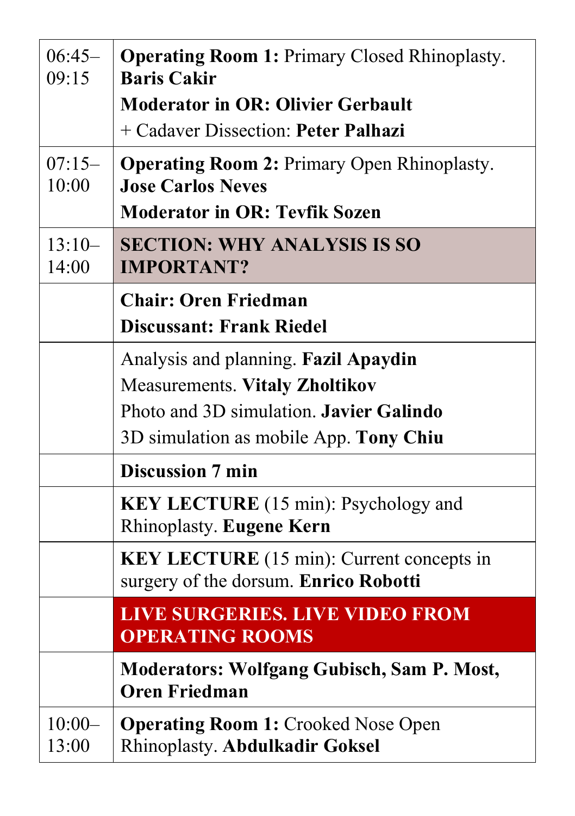| $06:45-$<br>09:15 | <b>Operating Room 1: Primary Closed Rhinoplasty.</b><br><b>Baris Cakir</b>                                             |
|-------------------|------------------------------------------------------------------------------------------------------------------------|
|                   | <b>Moderator in OR: Olivier Gerbault</b>                                                                               |
|                   | + Cadaver Dissection: Peter Palhazi                                                                                    |
| $07:15-$<br>10:00 | <b>Operating Room 2: Primary Open Rhinoplasty.</b><br><b>Jose Carlos Neves</b><br><b>Moderator in OR: Tevfik Sozen</b> |
|                   |                                                                                                                        |
| $13:10-$<br>14:00 | <b>SECTION: WHY ANALYSIS IS SO</b><br><b>IMPORTANT?</b>                                                                |
|                   | <b>Chair: Oren Friedman</b>                                                                                            |
|                   | <b>Discussant: Frank Riedel</b>                                                                                        |
|                   | Analysis and planning. Fazil Apaydin                                                                                   |
|                   | <b>Measurements. Vitaly Zholtikov</b>                                                                                  |
|                   | Photo and 3D simulation. Javier Galindo                                                                                |
|                   | 3D simulation as mobile App. Tony Chiu                                                                                 |
|                   | <b>Discussion 7 min</b>                                                                                                |
|                   | <b>KEY LECTURE</b> (15 min): Psychology and<br>Rhinoplasty. Eugene Kern                                                |
|                   | <b>KEY LECTURE</b> (15 min): Current concepts in<br>surgery of the dorsum. Enrico Robotti                              |
|                   | <b>LIVE SURGERIES. LIVE VIDEO FROM</b><br><b>OPERATING ROOMS</b>                                                       |
|                   | <b>Moderators: Wolfgang Gubisch, Sam P. Most,</b><br><b>Oren Friedman</b>                                              |
| $10:00-$<br>13:00 | <b>Operating Room 1:</b> Crooked Nose Open<br><b>Rhinoplasty. Abdulkadir Goksel</b>                                    |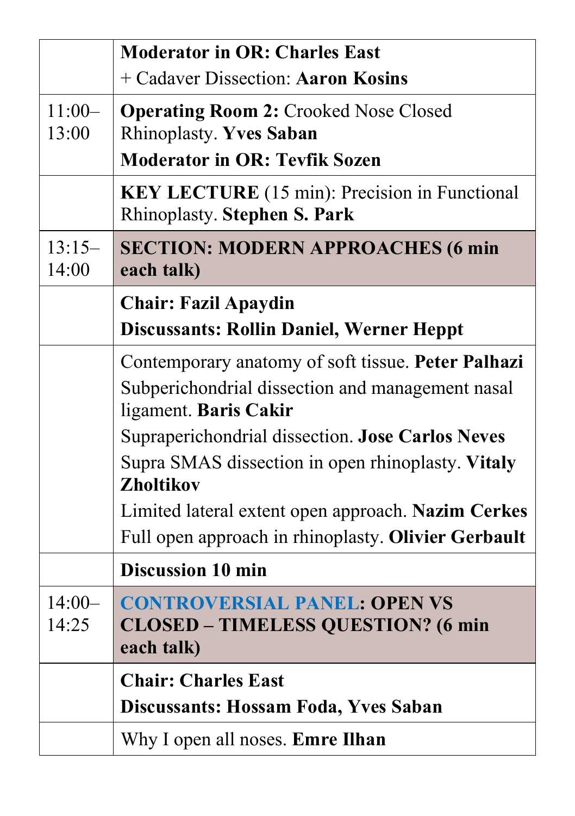|                   | <b>Moderator in OR: Charles East</b>                                                        |
|-------------------|---------------------------------------------------------------------------------------------|
|                   | + Cadaver Dissection: Aaron Kosins                                                          |
| $11:00-$<br>13:00 | <b>Operating Room 2: Crooked Nose Closed</b><br><b>Rhinoplasty. Yves Saban</b>              |
|                   | <b>Moderator in OR: Tevfik Sozen</b>                                                        |
|                   | <b>KEY LECTURE</b> (15 min): Precision in Functional<br><b>Rhinoplasty. Stephen S. Park</b> |
| $13:15-$<br>14:00 | <b>SECTION: MODERN APPROACHES (6 min</b><br>each talk)                                      |
|                   | <b>Chair: Fazil Apaydin</b>                                                                 |
|                   | <b>Discussants: Rollin Daniel, Werner Heppt</b>                                             |
|                   | Contemporary anatomy of soft tissue. Peter Palhazi                                          |
|                   | Subperichondrial dissection and management nasal<br>ligament. Baris Cakir                   |
|                   | Supraperichondrial dissection. Jose Carlos Neves                                            |
|                   | Supra SMAS dissection in open rhinoplasty. Vitaly<br><b>Zholtikov</b>                       |
|                   | Limited lateral extent open approach. Nazim Cerkes                                          |
|                   | Full open approach in rhinoplasty. Olivier Gerbault                                         |
|                   | <b>Discussion 10 min</b>                                                                    |
| $14:00-$          | <b>CONTROVERSIAL PANEL: OPEN VS</b>                                                         |
| 14:25             | <b>CLOSED - TIMELESS QUESTION? (6 min</b><br>each talk)                                     |
|                   | <b>Chair: Charles East</b>                                                                  |
|                   | Discussants: Hossam Foda, Yves Saban                                                        |
|                   | Why I open all noses. Emre Ilhan                                                            |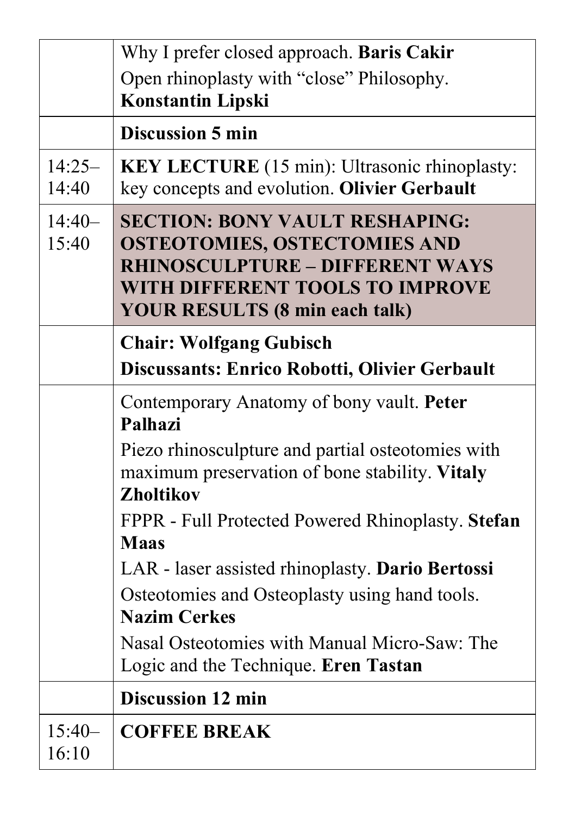|                   | Why I prefer closed approach. Baris Cakir                                                                                                                                                          |
|-------------------|----------------------------------------------------------------------------------------------------------------------------------------------------------------------------------------------------|
|                   | Open rhinoplasty with "close" Philosophy.                                                                                                                                                          |
|                   | <b>Konstantin Lipski</b>                                                                                                                                                                           |
|                   | <b>Discussion 5 min</b>                                                                                                                                                                            |
| $14:25-$<br>14:40 | <b>KEY LECTURE</b> (15 min): Ultrasonic rhinoplasty:<br>key concepts and evolution. Olivier Gerbault                                                                                               |
| $14:40-$<br>15:40 | <b>SECTION: BONY VAULT RESHAPING:</b><br><b>OSTEOTOMIES, OSTECTOMIES AND</b><br><b>RHINOSCULPTURE - DIFFERENT WAYS</b><br>WITH DIFFERENT TOOLS TO IMPROVE<br><b>YOUR RESULTS (8 min each talk)</b> |
|                   | <b>Chair: Wolfgang Gubisch</b><br>Discussants: Enrico Robotti, Olivier Gerbault                                                                                                                    |
|                   | Contemporary Anatomy of bony vault. Peter<br>Palhazi                                                                                                                                               |
|                   | Piezo rhinosculpture and partial osteotomies with<br>maximum preservation of bone stability. Vitaly<br><b>Zholtikov</b>                                                                            |
|                   | FPPR - Full Protected Powered Rhinoplasty. Stefan<br><b>Maas</b>                                                                                                                                   |
|                   | LAR - laser assisted rhinoplasty. Dario Bertossi                                                                                                                                                   |
|                   | Osteotomies and Osteoplasty using hand tools.<br><b>Nazim Cerkes</b>                                                                                                                               |
|                   | Nasal Osteotomies with Manual Micro-Saw: The<br>Logic and the Technique. Eren Tastan                                                                                                               |
|                   | <b>Discussion 12 min</b>                                                                                                                                                                           |
| $15:40-$<br>16:10 | <b>COFFEE BREAK</b>                                                                                                                                                                                |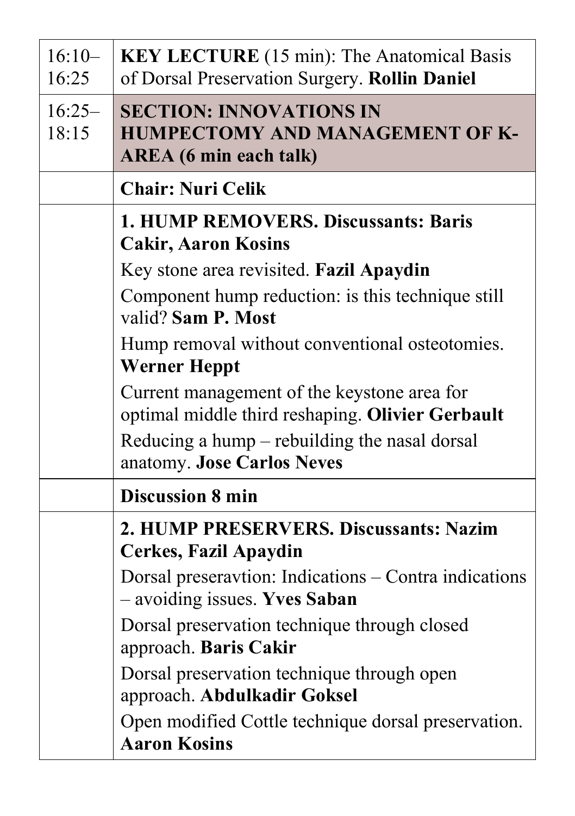| $16:10-$<br>16:25 | <b>KEY LECTURE</b> (15 min): The Anatomical Basis<br>of Dorsal Preservation Surgery. Rollin Daniel        |
|-------------------|-----------------------------------------------------------------------------------------------------------|
| $16:25-$<br>18:15 | <b>SECTION: INNOVATIONS IN</b><br><b>HUMPECTOMY AND MANAGEMENT OF K-</b><br><b>AREA</b> (6 min each talk) |
|                   | <b>Chair: Nuri Celik</b>                                                                                  |
|                   | 1. HUMP REMOVERS. Discussants: Baris<br><b>Cakir, Aaron Kosins</b>                                        |
|                   | Key stone area revisited. Fazil Apaydin                                                                   |
|                   | Component hump reduction: is this technique still<br>valid? Sam P. Most                                   |
|                   | Hump removal without conventional osteotomies.<br><b>Werner Heppt</b>                                     |
|                   | Current management of the keystone area for<br>optimal middle third reshaping. Olivier Gerbault           |
|                   | Reducing a hump $-$ rebuilding the nasal dorsal<br>anatomy. Jose Carlos Neves                             |
|                   | <b>Discussion 8 min</b>                                                                                   |
|                   | 2. HUMP PRESERVERS. Discussants: Nazim<br><b>Cerkes, Fazil Apaydin</b>                                    |
|                   | Dorsal preseravtion: Indications – Contra indications<br>- avoiding issues. Yves Saban                    |
|                   | Dorsal preservation technique through closed<br>approach. Baris Cakir                                     |
|                   | Dorsal preservation technique through open<br>approach. Abdulkadir Goksel                                 |
|                   | Open modified Cottle technique dorsal preservation.<br><b>Aaron Kosins</b>                                |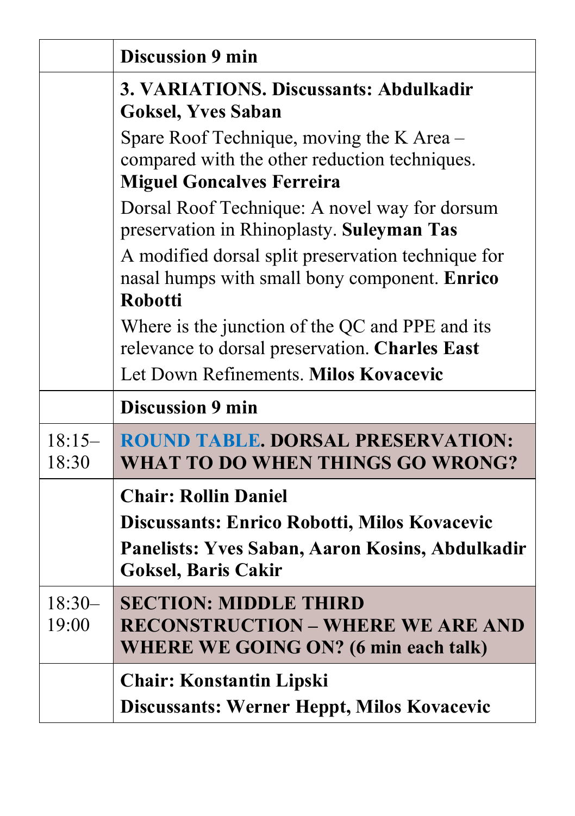|                   | <b>Discussion 9 min</b>                                                                                                                                      |
|-------------------|--------------------------------------------------------------------------------------------------------------------------------------------------------------|
|                   | 3. VARIATIONS. Discussants: Abdulkadir<br><b>Goksel, Yves Saban</b>                                                                                          |
|                   | Spare Roof Technique, moving the K Area –<br>compared with the other reduction techniques.<br><b>Miguel Goncalves Ferreira</b>                               |
|                   | Dorsal Roof Technique: A novel way for dorsum<br>preservation in Rhinoplasty. Suleyman Tas                                                                   |
|                   | A modified dorsal split preservation technique for<br>nasal humps with small bony component. Enrico<br><b>Robotti</b>                                        |
|                   | Where is the junction of the QC and PPE and its<br>relevance to dorsal preservation. Charles East                                                            |
|                   | Let Down Refinements. Milos Kovacevic                                                                                                                        |
|                   | <b>Discussion 9 min</b>                                                                                                                                      |
| $18:15-$<br>18:30 | <b>ROUND TABLE, DORSAL PRESERVATION:</b><br><b>WHAT TO DO WHEN THINGS GO WRONG?</b>                                                                          |
|                   | <b>Chair: Rollin Daniel</b><br>Discussants: Enrico Robotti, Milos Kovacevic<br>Panelists: Yves Saban, Aaron Kosins, Abdulkadir<br><b>Goksel, Baris Cakir</b> |
| $18:30-$<br>19:00 | <b>SECTION: MIDDLE THIRD</b><br><b>RECONSTRUCTION - WHERE WE ARE AND</b><br><b>WHERE WE GOING ON? (6 min each talk)</b>                                      |
|                   | <b>Chair: Konstantin Lipski</b><br>Discussants: Werner Heppt, Milos Kovacevic                                                                                |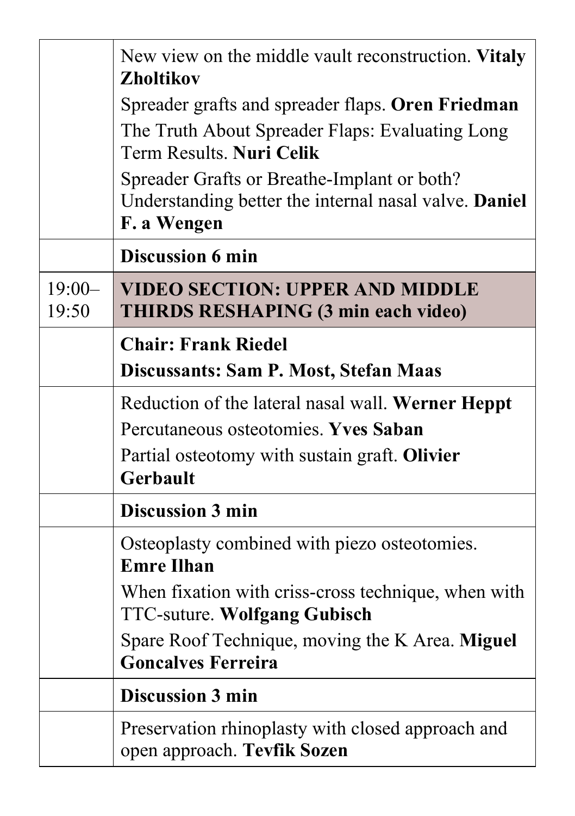|                   | New view on the middle vault reconstruction. Vitaly<br><b>Zholtikov</b>                                                          |
|-------------------|----------------------------------------------------------------------------------------------------------------------------------|
|                   | Spreader grafts and spreader flaps. Oren Friedman<br>The Truth About Spreader Flaps: Evaluating Long<br>Term Results. Nuri Celik |
|                   | Spreader Grafts or Breathe-Implant or both?<br>Understanding better the internal nasal valve. Daniel<br>F. a Wengen              |
|                   | <b>Discussion 6 min</b>                                                                                                          |
| $19:00-$<br>19:50 | <b>VIDEO SECTION: UPPER AND MIDDLE</b><br><b>THIRDS RESHAPING (3 min each video)</b>                                             |
|                   | <b>Chair: Frank Riedel</b>                                                                                                       |
|                   | Discussants: Sam P. Most, Stefan Maas                                                                                            |
|                   | Reduction of the lateral nasal wall. Werner Heppt                                                                                |
|                   | Percutaneous osteotomies. Yves Saban                                                                                             |
|                   | Partial osteotomy with sustain graft. Olivier<br><b>Gerbault</b>                                                                 |
|                   | <b>Discussion 3 min</b>                                                                                                          |
|                   | Osteoplasty combined with piezo osteotomies.<br><b>Emre Ilhan</b>                                                                |
|                   | When fixation with criss-cross technique, when with<br><b>TTC-suture. Wolfgang Gubisch</b>                                       |
|                   | Spare Roof Technique, moving the K Area. Miguel<br><b>Goncalves Ferreira</b>                                                     |
|                   | <b>Discussion 3 min</b>                                                                                                          |
|                   | Preservation rhinoplasty with closed approach and<br>open approach. Tevfik Sozen                                                 |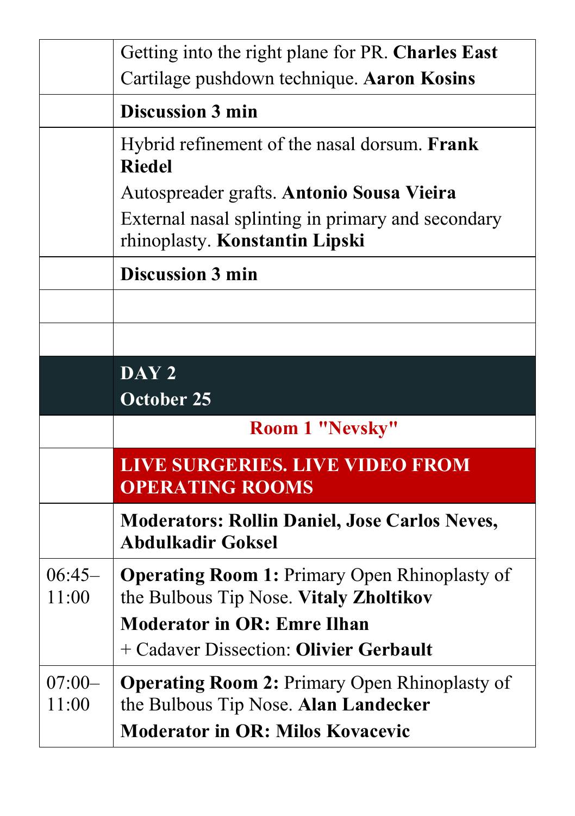|                   | Getting into the right plane for PR. Charles East                                              |
|-------------------|------------------------------------------------------------------------------------------------|
|                   | Cartilage pushdown technique. Aaron Kosins                                                     |
|                   | <b>Discussion 3 min</b>                                                                        |
|                   | Hybrid refinement of the nasal dorsum. Frank<br><b>Riedel</b>                                  |
|                   | Autospreader grafts. Antonio Sousa Vieira                                                      |
|                   | External nasal splinting in primary and secondary<br>rhinoplasty. Konstantin Lipski            |
|                   | <b>Discussion 3 min</b>                                                                        |
|                   |                                                                                                |
|                   |                                                                                                |
|                   | DAY <sub>2</sub>                                                                               |
|                   | <b>October 25</b>                                                                              |
|                   | Room 1 "Nevsky"                                                                                |
|                   | <b>LIVE SURGERIES. LIVE VIDEO FROM</b><br><b>OPERATING ROOMS</b>                               |
|                   | <b>Moderators: Rollin Daniel, Jose Carlos Neves,</b><br><b>Abdulkadir Goksel</b>               |
| $06:45-$<br>11:00 | <b>Operating Room 1: Primary Open Rhinoplasty of</b><br>the Bulbous Tip Nose. Vitaly Zholtikov |
|                   | <b>Moderator in OR: Emre Ilhan</b>                                                             |
|                   | + Cadaver Dissection: Olivier Gerbault                                                         |
| $07:00-$          | <b>Operating Room 2: Primary Open Rhinoplasty of</b>                                           |
| 11:00             | the Bulbous Tip Nose. Alan Landecker                                                           |
|                   | <b>Moderator in OR: Milos Kovacevic</b>                                                        |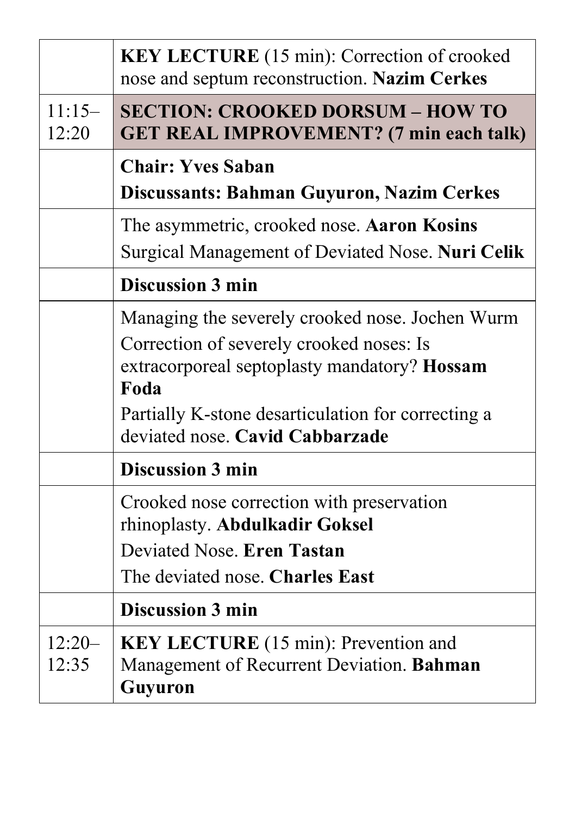|                   | <b>KEY LECTURE</b> (15 min): Correction of crooked<br>nose and septum reconstruction. Nazim Cerkes                                                                                                                                           |
|-------------------|----------------------------------------------------------------------------------------------------------------------------------------------------------------------------------------------------------------------------------------------|
| $11:15-$<br>12:20 | <b>SECTION: CROOKED DORSUM - HOW TO</b><br><b>GET REAL IMPROVEMENT?</b> (7 min each talk)                                                                                                                                                    |
|                   | <b>Chair: Yves Saban</b><br><b>Discussants: Bahman Guyuron, Nazim Cerkes</b>                                                                                                                                                                 |
|                   | The asymmetric, crooked nose. Aaron Kosins<br>Surgical Management of Deviated Nose. Nuri Celik                                                                                                                                               |
|                   | <b>Discussion 3 min</b>                                                                                                                                                                                                                      |
|                   | Managing the severely crooked nose. Jochen Wurm<br>Correction of severely crooked noses: Is<br>extracorporeal septoplasty mandatory? Hossam<br>Foda<br>Partially K-stone desarticulation for correcting a<br>deviated nose. Cavid Cabbarzade |
|                   | <b>Discussion 3 min</b>                                                                                                                                                                                                                      |
|                   | Crooked nose correction with preservation<br>rhinoplasty. Abdulkadir Goksel<br>Deviated Nose. Eren Tastan<br>The deviated nose. Charles East                                                                                                 |
|                   | <b>Discussion 3 min</b>                                                                                                                                                                                                                      |
| $12:20-$<br>12:35 | <b>KEY LECTURE</b> (15 min): Prevention and<br>Management of Recurrent Deviation. Bahman<br><b>Guyuron</b>                                                                                                                                   |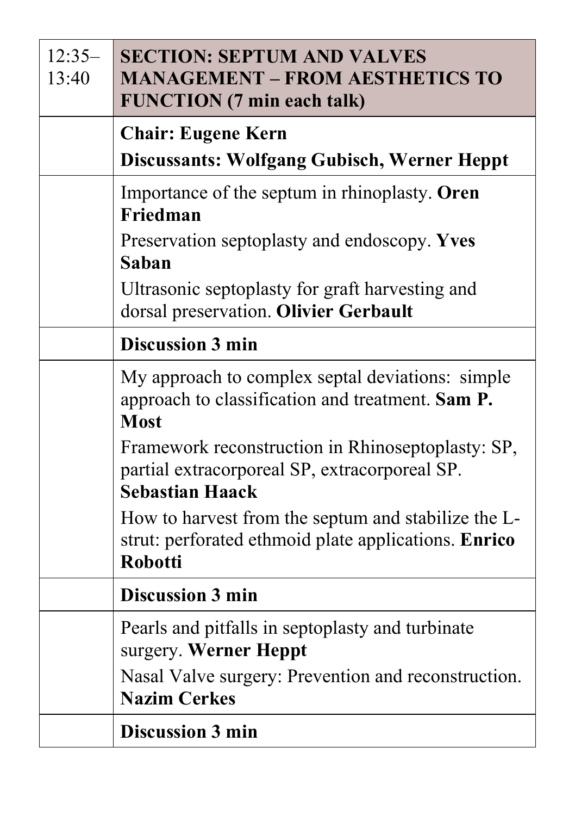| $12:35-$<br>13:40 | <b>SECTION: SEPTUM AND VALVES</b><br><b>MANAGEMENT - FROM AESTHETICS TO</b><br><b>FUNCTION</b> (7 min each talk)              |
|-------------------|-------------------------------------------------------------------------------------------------------------------------------|
|                   | <b>Chair: Eugene Kern</b><br><b>Discussants: Wolfgang Gubisch, Werner Heppt</b>                                               |
|                   | Importance of the septum in rhinoplasty. Oren<br>Friedman                                                                     |
|                   | Preservation septoplasty and endoscopy. Yves<br>Saban                                                                         |
|                   | Ultrasonic septoplasty for graft harvesting and<br>dorsal preservation. Olivier Gerbault                                      |
|                   | <b>Discussion 3 min</b>                                                                                                       |
|                   | My approach to complex septal deviations: simple<br>approach to classification and treatment. Sam P.<br><b>Most</b>           |
|                   | Framework reconstruction in Rhinoseptoplasty: SP,<br>partial extracorporeal SP, extracorporeal SP.<br><b>Sebastian Haack</b>  |
|                   | How to harvest from the septum and stabilize the L-<br>strut: perforated ethmoid plate applications. Enrico<br><b>Robotti</b> |
|                   | <b>Discussion 3 min</b>                                                                                                       |
|                   | Pearls and pitfalls in septoplasty and turbinate<br>surgery. Werner Heppt                                                     |
|                   | Nasal Valve surgery: Prevention and reconstruction.<br><b>Nazim Cerkes</b>                                                    |
|                   | <b>Discussion 3 min</b>                                                                                                       |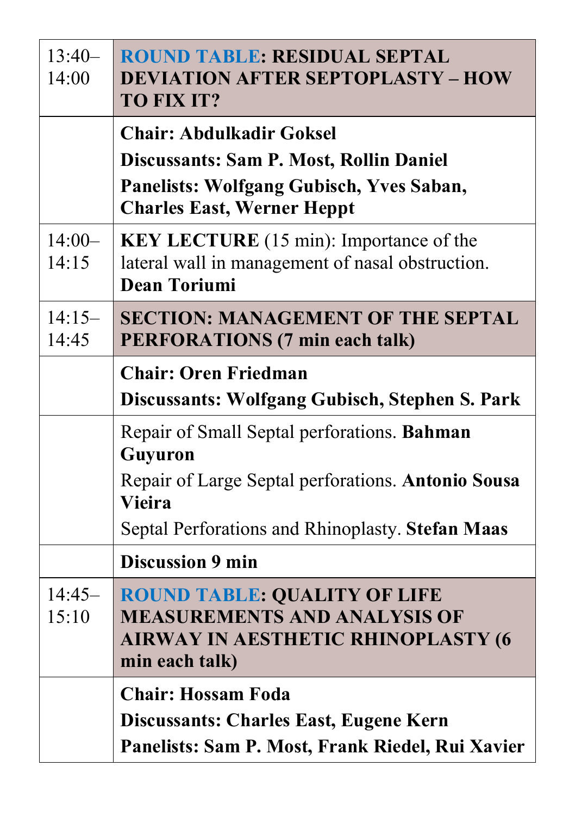| $13:40-$<br>14:00 | <b>ROUND TABLE: RESIDUAL SEPTAL</b><br><b>DEVIATION AFTER SEPTOPLASTY - HOW</b><br>TO FIX IT?                                                                                     |
|-------------------|-----------------------------------------------------------------------------------------------------------------------------------------------------------------------------------|
|                   | <b>Chair: Abdulkadir Goksel</b><br>Discussants: Sam P. Most, Rollin Daniel<br>Panelists: Wolfgang Gubisch, Yves Saban,<br><b>Charles East, Werner Heppt</b>                       |
| $14:00-$<br>14:15 | <b>KEY LECTURE</b> (15 min): Importance of the<br>lateral wall in management of nasal obstruction.<br><b>Dean Toriumi</b>                                                         |
| $14:15-$<br>14:45 | <b>SECTION: MANAGEMENT OF THE SEPTAL</b><br><b>PERFORATIONS (7 min each talk)</b>                                                                                                 |
|                   | <b>Chair: Oren Friedman</b><br>Discussants: Wolfgang Gubisch, Stephen S. Park                                                                                                     |
|                   | Repair of Small Septal perforations. Bahman<br>Guyuron<br>Repair of Large Septal perforations. Antonio Sousa<br><b>Vieira</b><br>Septal Perforations and Rhinoplasty. Stefan Maas |
|                   | <b>Discussion 9 min</b>                                                                                                                                                           |
| $14:45-$<br>15:10 | <b>ROUND TABLE: QUALITY OF LIFE</b><br><b>MEASUREMENTS AND ANALYSIS OF</b><br><b>AIRWAY IN AESTHETIC RHINOPLASTY (6</b><br>min each talk)                                         |
|                   | <b>Chair: Hossam Foda</b><br>Discussants: Charles East, Eugene Kern<br>Panelists: Sam P. Most, Frank Riedel, Rui Xavier                                                           |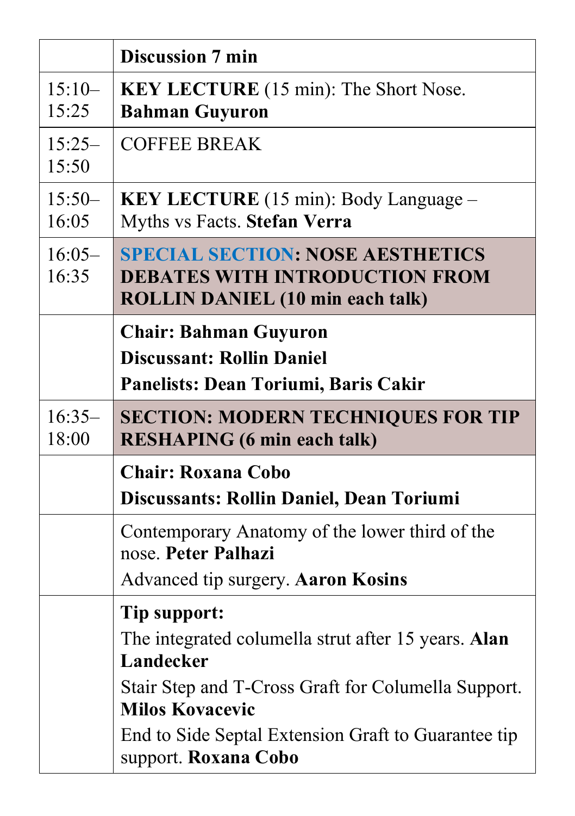|                   | <b>Discussion 7 min</b>                                                                                                                                                                                                                          |
|-------------------|--------------------------------------------------------------------------------------------------------------------------------------------------------------------------------------------------------------------------------------------------|
| $15:10-$<br>15:25 | <b>KEY LECTURE</b> (15 min): The Short Nose.<br><b>Bahman Guyuron</b>                                                                                                                                                                            |
| $15:25-$<br>15:50 | <b>COFFEE BREAK</b>                                                                                                                                                                                                                              |
| $15:50-$<br>16:05 | KEY LECTURE (15 min): Body Language -<br>Myths vs Facts. Stefan Verra                                                                                                                                                                            |
| $16:05-$<br>16:35 | <b>SPECIAL SECTION: NOSE AESTHETICS</b><br><b>DEBATES WITH INTRODUCTION FROM</b><br><b>ROLLIN DANIEL (10 min each talk)</b>                                                                                                                      |
|                   | <b>Chair: Bahman Guyuron</b><br><b>Discussant: Rollin Daniel</b><br>Panelists: Dean Toriumi, Baris Cakir                                                                                                                                         |
| $16:35-$<br>18:00 | <b>SECTION: MODERN TECHNIQUES FOR TIP</b><br><b>RESHAPING (6 min each talk)</b>                                                                                                                                                                  |
|                   | <b>Chair: Roxana Cobo</b><br>Discussants: Rollin Daniel, Dean Toriumi                                                                                                                                                                            |
|                   | Contemporary Anatomy of the lower third of the<br>nose. Peter Palhazi<br>Advanced tip surgery. Aaron Kosins                                                                                                                                      |
|                   | Tip support:<br>The integrated columella strut after 15 years. Alan<br>Landecker<br>Stair Step and T-Cross Graft for Columella Support.<br><b>Milos Kovacevic</b><br>End to Side Septal Extension Graft to Guarantee tip<br>support. Roxana Cobo |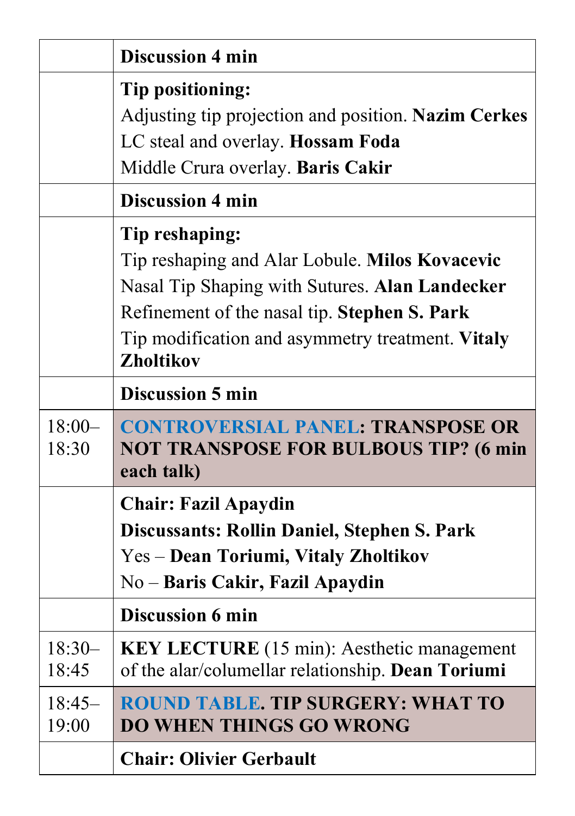|                   | <b>Discussion 4 min</b>                                                                                                                                                                                                                    |
|-------------------|--------------------------------------------------------------------------------------------------------------------------------------------------------------------------------------------------------------------------------------------|
|                   | Tip positioning:<br>Adjusting tip projection and position. Nazim Cerkes<br>LC steal and overlay. Hossam Foda<br>Middle Crura overlay. Baris Cakir                                                                                          |
|                   | <b>Discussion 4 min</b>                                                                                                                                                                                                                    |
|                   | Tip reshaping:<br>Tip reshaping and Alar Lobule. Milos Kovacevic<br>Nasal Tip Shaping with Sutures. Alan Landecker<br>Refinement of the nasal tip. Stephen S. Park<br>Tip modification and asymmetry treatment. Vitaly<br><b>Zholtikov</b> |
|                   | <b>Discussion 5 min</b>                                                                                                                                                                                                                    |
| $18:00-$<br>18:30 | <b>CONTROVERSIAL PANEL: TRANSPOSE OR</b><br><b>NOT TRANSPOSE FOR BULBOUS TIP? (6 min</b><br>each talk)                                                                                                                                     |
|                   | <b>Chair: Fazil Apaydin</b><br>Discussants: Rollin Daniel, Stephen S. Park<br>Yes – Dean Toriumi, Vitaly Zholtikov<br>No – Baris Cakir, Fazil Apaydin                                                                                      |
|                   | <b>Discussion 6 min</b>                                                                                                                                                                                                                    |
| $18:30-$<br>18:45 | <b>KEY LECTURE</b> (15 min): Aesthetic management<br>of the alar/columellar relationship. Dean Toriumi                                                                                                                                     |
| $18:45-$<br>19:00 | <b>ROUND TABLE. TIP SURGERY: WHAT TO</b><br><b>DO WHEN THINGS GO WRONG</b>                                                                                                                                                                 |
|                   | <b>Chair: Olivier Gerbault</b>                                                                                                                                                                                                             |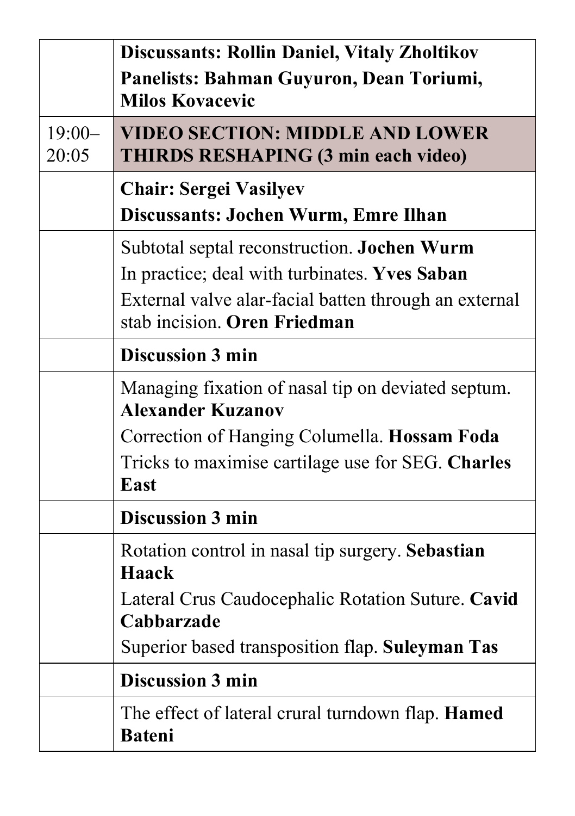|                   | <b>Discussants: Rollin Daniel, Vitaly Zholtikov</b><br>Panelists: Bahman Guyuron, Dean Toriumi,<br><b>Milos Kovacevic</b>                                                             |
|-------------------|---------------------------------------------------------------------------------------------------------------------------------------------------------------------------------------|
| $19:00-$<br>20:05 | <b>VIDEO SECTION: MIDDLE AND LOWER</b><br><b>THIRDS RESHAPING (3 min each video)</b>                                                                                                  |
|                   | <b>Chair: Sergei Vasilyev</b><br>Discussants: Jochen Wurm, Emre Ilhan                                                                                                                 |
|                   | Subtotal septal reconstruction. Jochen Wurm<br>In practice; deal with turbinates. Yves Saban<br>External valve alar-facial batten through an external<br>stab incision. Oren Friedman |
|                   | <b>Discussion 3 min</b>                                                                                                                                                               |
|                   | Managing fixation of nasal tip on deviated septum.<br><b>Alexander Kuzanov</b>                                                                                                        |
|                   | Correction of Hanging Columella. Hossam Foda                                                                                                                                          |
|                   | Tricks to maximise cartilage use for SEG. Charles<br><b>East</b>                                                                                                                      |
|                   | <b>Discussion 3 min</b>                                                                                                                                                               |
|                   | Rotation control in nasal tip surgery. Sebastian<br>Haack                                                                                                                             |
|                   | Lateral Crus Caudocephalic Rotation Suture. Cavid<br>Cabbarzade                                                                                                                       |
|                   | Superior based transposition flap. Suleyman Tas                                                                                                                                       |
|                   | <b>Discussion 3 min</b>                                                                                                                                                               |
|                   | The effect of lateral crural turndown flap. <b>Hamed</b><br><b>Bateni</b>                                                                                                             |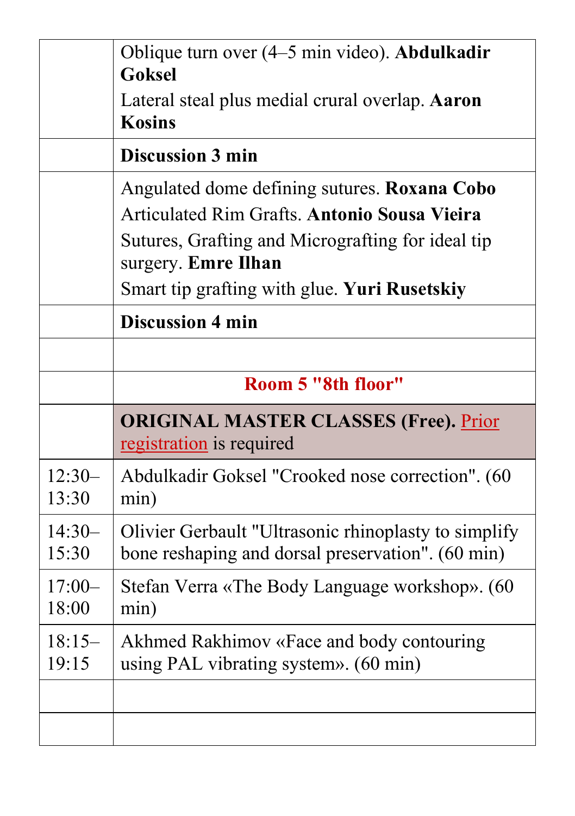|                   | Oblique turn over (4–5 min video). Abdulkadir<br><b>Goksel</b>                                                                                                                  |
|-------------------|---------------------------------------------------------------------------------------------------------------------------------------------------------------------------------|
|                   | Lateral steal plus medial crural overlap. Aaron<br><b>Kosins</b>                                                                                                                |
|                   | Discussion 3 min                                                                                                                                                                |
|                   | Angulated dome defining sutures. Roxana Cobo<br><b>Articulated Rim Grafts. Antonio Sousa Vieira</b><br>Sutures, Grafting and Micrografting for ideal tip<br>surgery. Emre Ilhan |
|                   | Smart tip grafting with glue. Yuri Rusetskiy                                                                                                                                    |
|                   | <b>Discussion 4 min</b>                                                                                                                                                         |
|                   |                                                                                                                                                                                 |
|                   | Room 5 "8th floor"                                                                                                                                                              |
|                   | <b>ORIGINAL MASTER CLASSES (Free). Prior</b><br>registration is required                                                                                                        |
| $12:30-$<br>13:30 | Abdulkadir Goksel "Crooked nose correction". (60<br>min)                                                                                                                        |
| $14:30-$<br>15:30 | Olivier Gerbault "Ultrasonic rhinoplasty to simplify<br>bone reshaping and dorsal preservation". (60 min)                                                                       |
| $17:00-$<br>18:00 | Stefan Verra «The Body Language workshop». (60                                                                                                                                  |
|                   | min)                                                                                                                                                                            |
| $18:15-$<br>19:15 | Akhmed Rakhimov «Face and body contouring<br>using PAL vibrating system». (60 min)                                                                                              |
|                   |                                                                                                                                                                                 |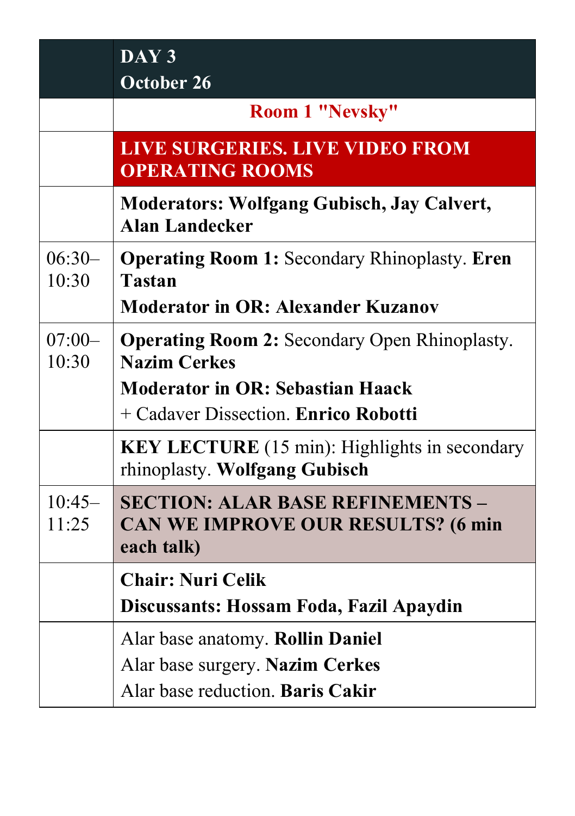|                   | DAY <sub>3</sub><br><b>October 26</b>                                                                              |
|-------------------|--------------------------------------------------------------------------------------------------------------------|
|                   | Room 1 "Nevsky"                                                                                                    |
|                   | <b>LIVE SURGERIES. LIVE VIDEO FROM</b><br><b>OPERATING ROOMS</b>                                                   |
|                   | <b>Moderators: Wolfgang Gubisch, Jay Calvert,</b><br><b>Alan Landecker</b>                                         |
| $06:30-$<br>10:30 | <b>Operating Room 1: Secondary Rhinoplasty. Eren</b><br><b>Tastan</b><br><b>Moderator in OR: Alexander Kuzanov</b> |
| $07:00-$<br>10:30 | <b>Operating Room 2:</b> Secondary Open Rhinoplasty.<br><b>Nazim Cerkes</b>                                        |
|                   | <b>Moderator in OR: Sebastian Haack</b><br>+ Cadaver Dissection. Enrico Robotti                                    |
|                   | <b>KEY LECTURE</b> (15 min): Highlights in secondary<br>rhinoplasty. Wolfgang Gubisch                              |
| $10:45-$<br>11:25 | <b>SECTION: ALAR BASE REFINEMENTS -</b><br>CAN WE IMPROVE OUR RESULTS? (6 min<br>each talk)                        |
|                   | <b>Chair: Nuri Celik</b>                                                                                           |
|                   | Discussants: Hossam Foda, Fazil Apaydin                                                                            |
|                   | Alar base anatomy. Rollin Daniel<br>Alar base surgery. Nazim Cerkes<br>Alar base reduction. Baris Cakir            |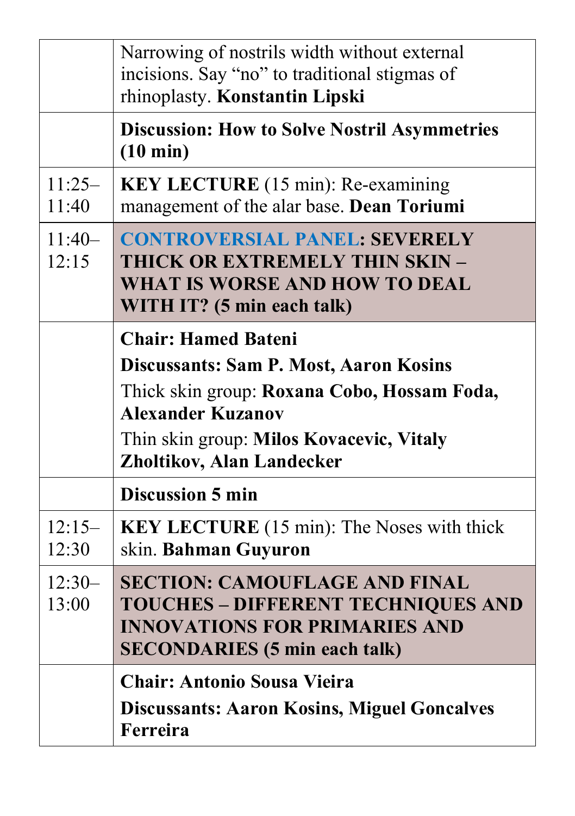|                   | Narrowing of nostrils width without external<br>incisions. Say "no" to traditional stigmas of<br>rhinoplasty. Konstantin Lipski                                                                                                 |
|-------------------|---------------------------------------------------------------------------------------------------------------------------------------------------------------------------------------------------------------------------------|
|                   | <b>Discussion: How to Solve Nostril Asymmetries</b><br>$(10 \text{ min})$                                                                                                                                                       |
| $11:25-$<br>11:40 | <b>KEY LECTURE</b> (15 min): Re-examining<br>management of the alar base. Dean Toriumi                                                                                                                                          |
| $11:40-$<br>12:15 | <b>CONTROVERSIAL PANEL: SEVERELY</b><br><b>THICK OR EXTREMELY THIN SKIN -</b><br><b>WHAT IS WORSE AND HOW TO DEAL</b><br>WITH IT? (5 min each talk)                                                                             |
|                   | <b>Chair: Hamed Bateni</b><br><b>Discussants: Sam P. Most, Aaron Kosins</b><br>Thick skin group: Roxana Cobo, Hossam Foda,<br><b>Alexander Kuzanov</b><br>Thin skin group: Milos Kovacevic, Vitaly<br>Zholtikov, Alan Landecker |
|                   | <b>Discussion 5 min</b>                                                                                                                                                                                                         |
| $12:15-$<br>12:30 | <b>KEY LECTURE</b> (15 min): The Noses with thick<br>skin. Bahman Guyuron                                                                                                                                                       |
| $12:30-$<br>13:00 | <b>SECTION: CAMOUFLAGE AND FINAL</b><br><b>TOUCHES - DIFFERENT TECHNIQUES AND</b><br><b>INNOVATIONS FOR PRIMARIES AND</b><br><b>SECONDARIES</b> (5 min each talk)                                                               |
|                   | <b>Chair: Antonio Sousa Vieira</b><br><b>Discussants: Aaron Kosins, Miguel Goncalves</b><br>Ferreira                                                                                                                            |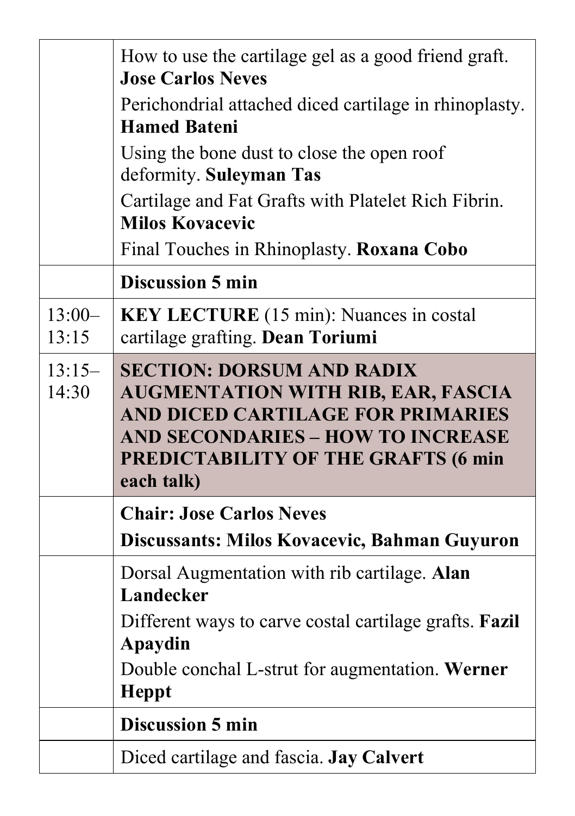|                   | How to use the cartilage gel as a good friend graft.<br><b>Jose Carlos Neves</b>                                                                                                                                           |
|-------------------|----------------------------------------------------------------------------------------------------------------------------------------------------------------------------------------------------------------------------|
|                   | Perichondrial attached diced cartilage in rhinoplasty.<br><b>Hamed Bateni</b>                                                                                                                                              |
|                   | Using the bone dust to close the open roof<br>deformity. Suleyman Tas                                                                                                                                                      |
|                   | Cartilage and Fat Grafts with Platelet Rich Fibrin.<br><b>Milos Kovacevic</b>                                                                                                                                              |
|                   | Final Touches in Rhinoplasty. Roxana Cobo                                                                                                                                                                                  |
|                   | <b>Discussion 5 min</b>                                                                                                                                                                                                    |
| $13:00-$<br>13:15 | KEY LECTURE (15 min): Nuances in costal<br>cartilage grafting. Dean Toriumi                                                                                                                                                |
| $13:15-$<br>14:30 | <b>SECTION: DORSUM AND RADIX</b><br><b>AUGMENTATION WITH RIB, EAR, FASCIA</b><br>AND DICED CARTILAGE FOR PRIMARIES<br><b>AND SECONDARIES - HOW TO INCREASE</b><br><b>PREDICTABILITY OF THE GRAFTS (6 min</b><br>each talk) |
|                   |                                                                                                                                                                                                                            |
|                   | <b>Chair: Jose Carlos Neves</b>                                                                                                                                                                                            |
|                   | Discussants: Milos Kovacevic, Bahman Guyuron                                                                                                                                                                               |
|                   | Dorsal Augmentation with rib cartilage. Alan<br>Landecker                                                                                                                                                                  |
|                   | Different ways to carve costal cartilage grafts. <b>Fazil</b><br>Apaydin                                                                                                                                                   |
|                   | Double conchal L-strut for augmentation. Werner<br><b>Heppt</b>                                                                                                                                                            |
|                   | <b>Discussion 5 min</b>                                                                                                                                                                                                    |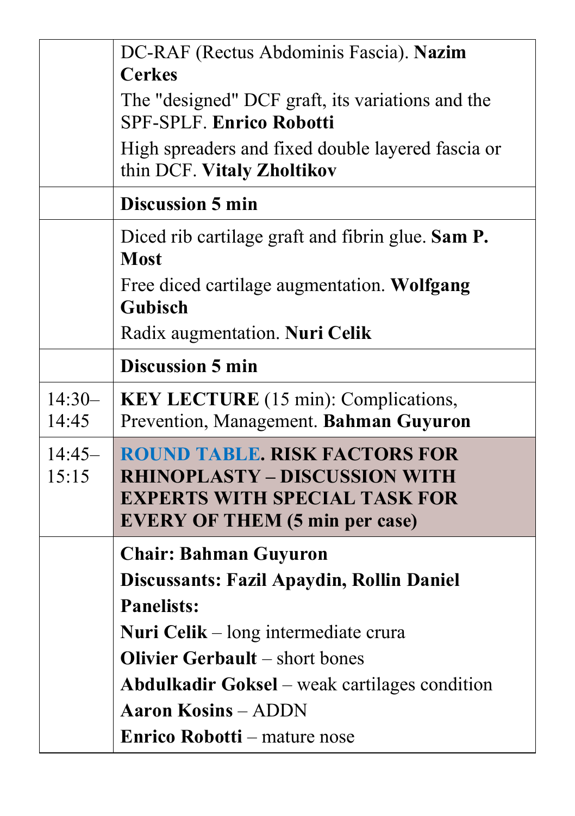|                   | DC-RAF (Rectus Abdominis Fascia). Nazim                                                                                                                       |
|-------------------|---------------------------------------------------------------------------------------------------------------------------------------------------------------|
|                   | <b>Cerkes</b>                                                                                                                                                 |
|                   | The "designed" DCF graft, its variations and the<br><b>SPF-SPLF. Enrico Robotti</b>                                                                           |
|                   | High spreaders and fixed double layered fascia or<br>thin DCF. Vitaly Zholtikov                                                                               |
|                   | <b>Discussion 5 min</b>                                                                                                                                       |
|                   | Diced rib cartilage graft and fibrin glue. Sam P.<br><b>Most</b>                                                                                              |
|                   | Free diced cartilage augmentation. Wolfgang<br><b>Gubisch</b>                                                                                                 |
|                   | Radix augmentation. Nuri Celik                                                                                                                                |
|                   | <b>Discussion 5 min</b>                                                                                                                                       |
| $14:30-$<br>14:45 | <b>KEY LECTURE</b> (15 min): Complications,<br>Prevention, Management. Bahman Guyuron                                                                         |
| $14:45-$<br>15:15 | <b>ROUND TABLE. RISK FACTORS FOR</b><br><b>RHINOPLASTY - DISCUSSION WITH</b><br><b>EXPERTS WITH SPECIAL TASK FOR</b><br><b>EVERY OF THEM (5 min per case)</b> |
|                   | <b>Chair: Bahman Guyuron</b>                                                                                                                                  |
|                   | Discussants: Fazil Apaydin, Rollin Daniel                                                                                                                     |
|                   | <b>Panelists:</b>                                                                                                                                             |
|                   | <b>Nuri Celik</b> $-$ long intermediate crura                                                                                                                 |
|                   | <b>Olivier Gerbault</b> – short bones                                                                                                                         |
|                   | <b>Abdulkadir Goksel</b> – weak cartilages condition                                                                                                          |
|                   | <b>Aaron Kosins - ADDN</b>                                                                                                                                    |
|                   | <b>Enrico Robotti</b> – mature nose                                                                                                                           |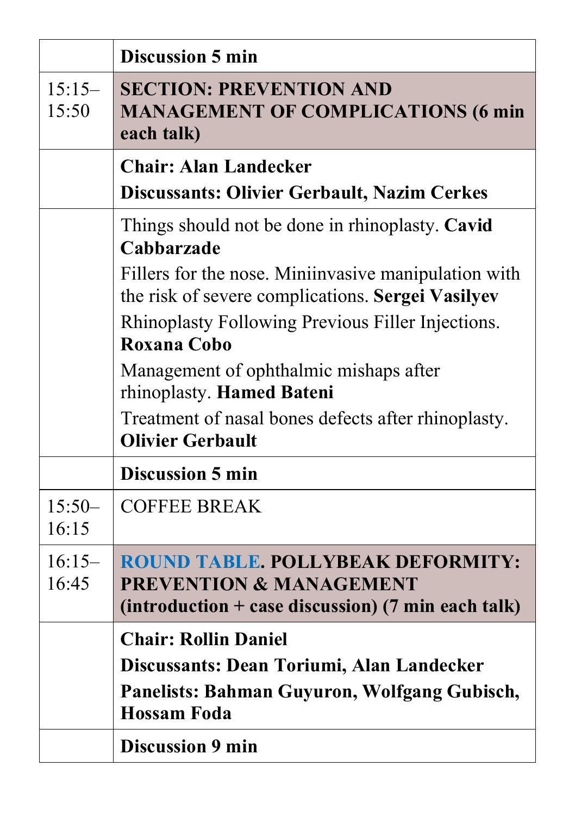|                   | <b>Discussion 5 min</b>                                                                                                                                                                                                                                                                                                                                                                                 |
|-------------------|---------------------------------------------------------------------------------------------------------------------------------------------------------------------------------------------------------------------------------------------------------------------------------------------------------------------------------------------------------------------------------------------------------|
| $15:15-$<br>15:50 | <b>SECTION: PREVENTION AND</b><br><b>MANAGEMENT OF COMPLICATIONS (6 min</b><br>each talk)                                                                                                                                                                                                                                                                                                               |
|                   | <b>Chair: Alan Landecker</b><br><b>Discussants: Olivier Gerbault, Nazim Cerkes</b>                                                                                                                                                                                                                                                                                                                      |
|                   | Things should not be done in rhinoplasty. Cavid<br>Cabbarzade<br>Fillers for the nose. Miniinvasive manipulation with<br>the risk of severe complications. Sergei Vasilyev<br>Rhinoplasty Following Previous Filler Injections.<br>Roxana Cobo<br>Management of ophthalmic mishaps after<br>rhinoplasty. Hamed Bateni<br>Treatment of nasal bones defects after rhinoplasty.<br><b>Olivier Gerbault</b> |
|                   | <b>Discussion 5 min</b>                                                                                                                                                                                                                                                                                                                                                                                 |
| $15:50-$<br>16:15 | <b>COFFEE BREAK</b>                                                                                                                                                                                                                                                                                                                                                                                     |
| $16:15-$<br>16:45 | <b>ROUND TABLE, POLLYBEAK DEFORMITY:</b><br><b>PREVENTION &amp; MANAGEMENT</b><br>(introduction + case discussion) (7 min each talk)                                                                                                                                                                                                                                                                    |
|                   | <b>Chair: Rollin Daniel</b><br>Discussants: Dean Toriumi, Alan Landecker<br>Panelists: Bahman Guyuron, Wolfgang Gubisch,<br><b>Hossam Foda</b><br><b>Discussion 9 min</b>                                                                                                                                                                                                                               |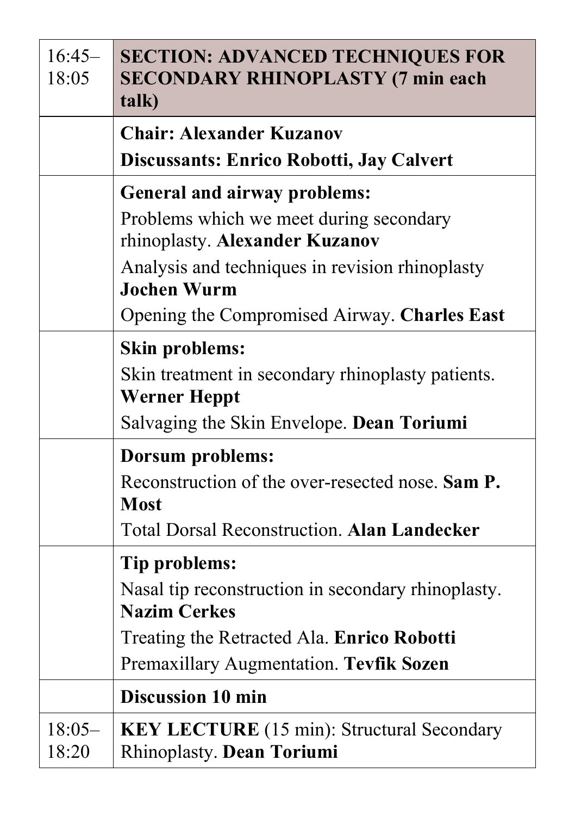| $16:45-$<br>18:05 | <b>SECTION: ADVANCED TECHNIQUES FOR</b><br><b>SECONDARY RHINOPLASTY (7 min each</b><br>talk)                                                                                                                                              |
|-------------------|-------------------------------------------------------------------------------------------------------------------------------------------------------------------------------------------------------------------------------------------|
|                   | <b>Chair: Alexander Kuzanov</b><br>Discussants: Enrico Robotti, Jay Calvert                                                                                                                                                               |
|                   | <b>General and airway problems:</b><br>Problems which we meet during secondary<br>rhinoplasty. Alexander Kuzanov<br>Analysis and techniques in revision rhinoplasty<br><b>Jochen Wurm</b><br>Opening the Compromised Airway. Charles East |
|                   | <b>Skin problems:</b><br>Skin treatment in secondary rhinoplasty patients.<br><b>Werner Heppt</b><br>Salvaging the Skin Envelope. Dean Toriumi                                                                                            |
|                   | Dorsum problems:<br>Reconstruction of the over-resected nose. Sam P.<br><b>Most</b><br><b>Total Dorsal Reconstruction. Alan Landecker</b>                                                                                                 |
|                   | Tip problems:<br>Nasal tip reconstruction in secondary rhinoplasty.<br><b>Nazim Cerkes</b><br>Treating the Retracted Ala. Enrico Robotti<br>Premaxillary Augmentation. Tevfik Sozen                                                       |
|                   | <b>Discussion 10 min</b>                                                                                                                                                                                                                  |
| $18:05-$<br>18:20 | <b>KEY LECTURE</b> (15 min): Structural Secondary<br>Rhinoplasty. Dean Toriumi                                                                                                                                                            |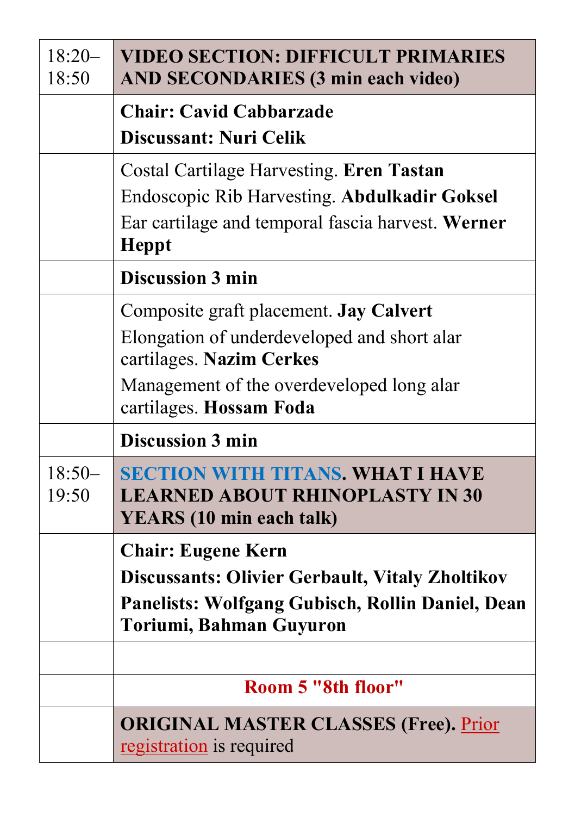| $18:20-$<br>18:50 | <b>VIDEO SECTION: DIFFICULT PRIMARIES</b><br><b>AND SECONDARIES (3 min each video)</b>                                                                                                    |
|-------------------|-------------------------------------------------------------------------------------------------------------------------------------------------------------------------------------------|
|                   | <b>Chair: Cavid Cabbarzade</b><br>Discussant: Nuri Celik                                                                                                                                  |
|                   | Costal Cartilage Harvesting. Eren Tastan<br>Endoscopic Rib Harvesting. Abdulkadir Goksel<br>Ear cartilage and temporal fascia harvest. Werner<br><b>Heppt</b>                             |
|                   | <b>Discussion 3 min</b>                                                                                                                                                                   |
|                   | Composite graft placement. Jay Calvert<br>Elongation of underdeveloped and short alar<br>cartilages. Nazim Cerkes<br>Management of the overdeveloped long alar<br>cartilages. Hossam Foda |
|                   | <b>Discussion 3 min</b>                                                                                                                                                                   |
| $18:50-$<br>19:50 | <b>SECTION WITH TITANS. WHAT I HAVE</b><br><b>LEARNED ABOUT RHINOPLASTY IN 30</b><br><b>YEARS</b> (10 min each talk)                                                                      |
|                   | <b>Chair: Eugene Kern</b><br><b>Discussants: Olivier Gerbault, Vitaly Zholtikov</b><br>Panelists: Wolfgang Gubisch, Rollin Daniel, Dean<br>Toriumi, Bahman Guyuron                        |
|                   |                                                                                                                                                                                           |
|                   | Room 5 "8th floor"                                                                                                                                                                        |
|                   | <b>ORIGINAL MASTER CLASSES (Free). Prior</b><br>registration is required                                                                                                                  |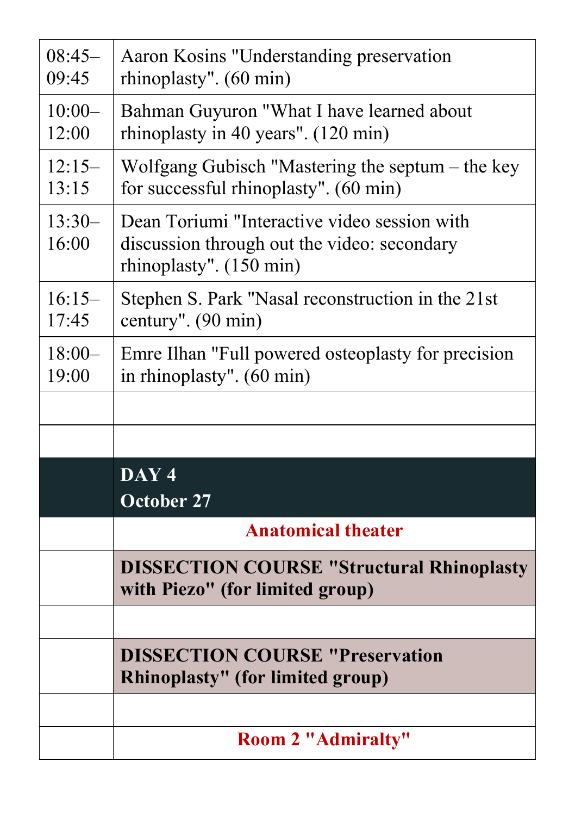| $08:45-$<br>09:45 | Aaron Kosins "Understanding preservation<br>rhinoplasty". (60 min)                                                     |
|-------------------|------------------------------------------------------------------------------------------------------------------------|
| $10:00-$<br>12:00 | Bahman Guyuron "What I have learned about<br>rhinoplasty in 40 years". (120 min)                                       |
| $12:15-$<br>13:15 | Wolfgang Gubisch "Mastering the septum – the key<br>for successful rhinoplasty". (60 min)                              |
| $13:30-$<br>16:00 | Dean Toriumi "Interactive video session with<br>discussion through out the video: secondary<br>rhinoplasty". (150 min) |
| $16:15-$<br>17:45 | Stephen S. Park "Nasal reconstruction in the 21st<br>century". (90 min)                                                |
| $18:00-$<br>19:00 | Emre Ilhan "Full powered osteoplasty for precision<br>in rhinoplasty". (60 min)                                        |
|                   |                                                                                                                        |
|                   |                                                                                                                        |
|                   | DAY <sub>4</sub><br><b>October 27</b>                                                                                  |
|                   | <b>Anatomical theater</b>                                                                                              |
|                   | <b>DISSECTION COURSE "Structural Rhinoplasty</b><br>with Piezo" (for limited group)                                    |
|                   |                                                                                                                        |
|                   | <b>DISSECTION COURSE "Preservation</b><br><b>Rhinoplasty"</b> (for limited group)                                      |
|                   |                                                                                                                        |
|                   | <b>Room 2 "Admiralty"</b>                                                                                              |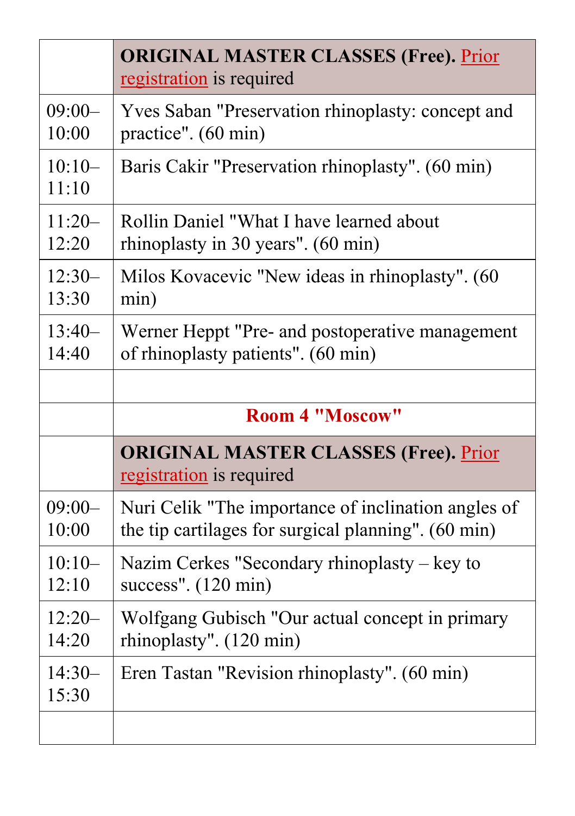|                   | <b>ORIGINAL MASTER CLASSES (Free). Prior</b><br>registration is required |
|-------------------|--------------------------------------------------------------------------|
| $09:00-$          | Yves Saban "Preservation rhinoplasty: concept and                        |
| 10:00             | practice". $(60 \text{ min})$                                            |
| $10:10-$<br>11:10 | Baris Cakir "Preservation rhinoplasty". (60 min)                         |
| $11:20-$          | Rollin Daniel "What I have learned about                                 |
| 12:20             | rhinoplasty in 30 years". (60 min)                                       |
| $12:30-$          | Milos Kovacevic "New ideas in rhinoplasty". (60                          |
| 13:30             | min)                                                                     |
| $13:40-$          | Werner Heppt "Pre- and postoperative management                          |
| 14:40             | of rhinoplasty patients". (60 min)                                       |
|                   |                                                                          |
|                   |                                                                          |
|                   | <b>Room 4 "Moscow"</b>                                                   |
|                   | <b>ORIGINAL MASTER CLASSES (Free). Prior</b><br>registration is required |
| $09:00-$          | Nuri Celik "The importance of inclination angles of                      |
| 10:00             | the tip cartilages for surgical planning". (60 min)                      |
| $10:10-$          | Nazim Cerkes "Secondary rhinoplasty $-$ key to                           |
| 12:10             | success". $(120 \text{ min})$                                            |
| $12:20-$          | Wolfgang Gubisch "Our actual concept in primary                          |
| 14:20             | rhinoplasty". (120 min)                                                  |
| $14:30-$<br>15:30 | Eren Tastan "Revision rhinoplasty". (60 min)                             |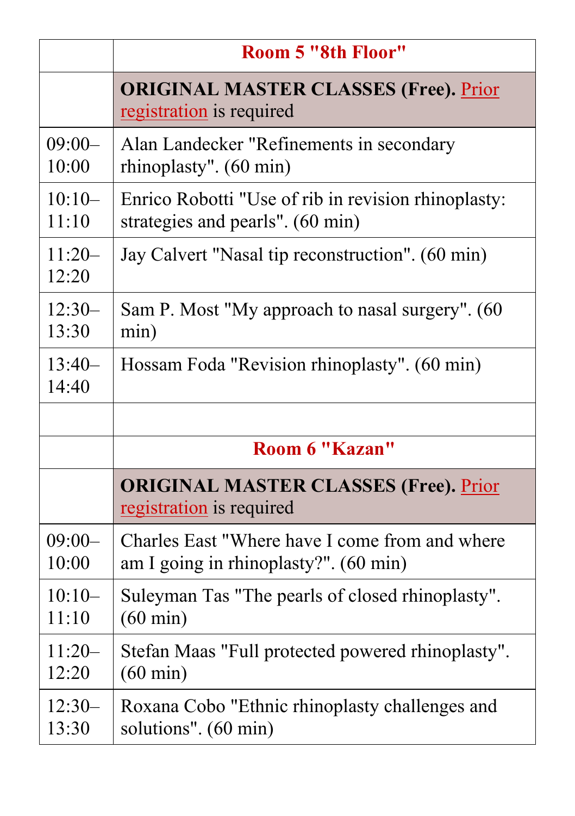|                   | <b>Room 5 "8th Floor"</b>                                                |
|-------------------|--------------------------------------------------------------------------|
|                   | <b>ORIGINAL MASTER CLASSES (Free). Prior</b><br>registration is required |
| $09:00-$          | Alan Landecker "Refinements in secondary                                 |
| 10:00             | rhinoplasty". (60 min)                                                   |
| $10:10-$          | Enrico Robotti "Use of rib in revision rhinoplasty:                      |
| 11:10             | strategies and pearls". (60 min)                                         |
| $11:20-$<br>12:20 | Jay Calvert "Nasal tip reconstruction". (60 min)                         |
| $12:30-$          | Sam P. Most "My approach to nasal surgery". (60                          |
| 13:30             | min)                                                                     |
| $13:40-$<br>14:40 | Hossam Foda "Revision rhinoplasty". (60 min)                             |
|                   |                                                                          |
|                   | Room 6 "Kazan"                                                           |
|                   | <b>ORIGINAL MASTER CLASSES (Free). Prior</b><br>registration is required |
| $09:00-$          | Charles East "Where have I come from and where                           |
| 10:00             | am I going in rhinoplasty?". (60 min)                                    |
| $10:10-$          | Suleyman Tas "The pearls of closed rhinoplasty".                         |
| 11:10             | $(60 \text{ min})$                                                       |
| $11:20-$          | Stefan Maas "Full protected powered rhinoplasty".                        |
| 12:20             | $(60 \text{ min})$                                                       |
| $12:30-$          | Roxana Cobo "Ethnic rhinoplasty challenges and                           |
| 13:30             | solutions". (60 min)                                                     |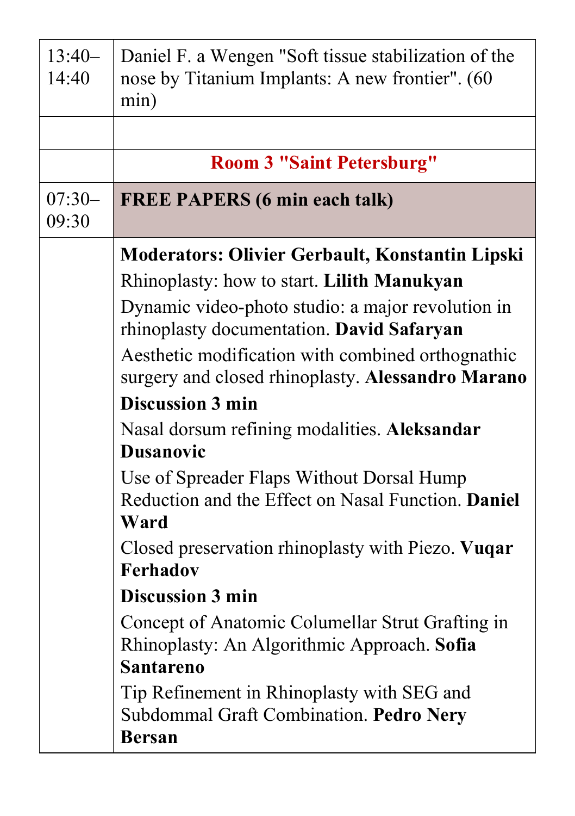| $13:40-$<br>14:40 | Daniel F. a Wengen "Soft tissue stabilization of the<br>nose by Titanium Implants: A new frontier". (60<br>min)     |
|-------------------|---------------------------------------------------------------------------------------------------------------------|
|                   |                                                                                                                     |
|                   | <b>Room 3 "Saint Petersburg"</b>                                                                                    |
| $07:30-$<br>09:30 | <b>FREE PAPERS (6 min each talk)</b>                                                                                |
|                   | Moderators: Olivier Gerbault, Konstantin Lipski                                                                     |
|                   | Rhinoplasty: how to start. Lilith Manukyan                                                                          |
|                   | Dynamic video-photo studio: a major revolution in<br>rhinoplasty documentation. David Safaryan                      |
|                   | Aesthetic modification with combined orthognathic<br>surgery and closed rhinoplasty. Alessandro Marano              |
|                   | <b>Discussion 3 min</b>                                                                                             |
|                   | Nasal dorsum refining modalities. Aleksandar<br><b>Dusanovic</b>                                                    |
|                   | Use of Spreader Flaps Without Dorsal Hump<br>Reduction and the Effect on Nasal Function. Daniel<br>Ward             |
|                   | Closed preservation rhinoplasty with Piezo. Vuqar<br><b>Ferhadov</b>                                                |
|                   | <b>Discussion 3 min</b>                                                                                             |
|                   | Concept of Anatomic Columellar Strut Grafting in<br>Rhinoplasty: An Algorithmic Approach. Sofia<br><b>Santareno</b> |
|                   | Tip Refinement in Rhinoplasty with SEG and<br>Subdommal Graft Combination. Pedro Nery<br><b>Bersan</b>              |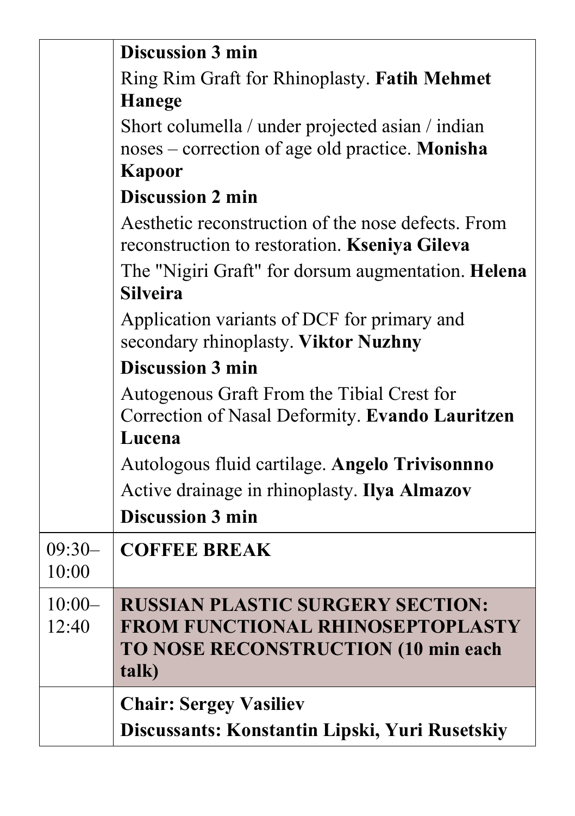|                   | <b>Discussion 3 min</b>                                                                             |
|-------------------|-----------------------------------------------------------------------------------------------------|
|                   | Ring Rim Graft for Rhinoplasty. Fatih Mehmet                                                        |
|                   | Hanege                                                                                              |
|                   | Short columella / under projected asian / indian                                                    |
|                   | noses – correction of age old practice. Monisha                                                     |
|                   | Kapoor                                                                                              |
|                   | <b>Discussion 2 min</b>                                                                             |
|                   | Aesthetic reconstruction of the nose defects. From<br>reconstruction to restoration. Kseniya Gileva |
|                   | The "Nigiri Graft" for dorsum augmentation. Helena<br><b>Silveira</b>                               |
|                   | Application variants of DCF for primary and<br>secondary rhinoplasty. Viktor Nuzhny                 |
|                   | <b>Discussion 3 min</b>                                                                             |
|                   | Autogenous Graft From the Tibial Crest for                                                          |
|                   | Correction of Nasal Deformity. Evando Lauritzen                                                     |
|                   | Lucena                                                                                              |
|                   | Autologous fluid cartilage. Angelo Trivisonnno                                                      |
|                   | Active drainage in rhinoplasty. Ilya Almazov                                                        |
|                   | <b>Discussion 3 min</b>                                                                             |
| $09:30-$<br>10:00 | <b>COFFEE BREAK</b>                                                                                 |
| $10:00-$<br>12:40 | <b>RUSSIAN PLASTIC SURGERY SECTION:</b><br><b>FROM FUNCTIONAL RHINOSEPTOPLASTY</b>                  |
|                   | TO NOSE RECONSTRUCTION (10 min each<br>talk)                                                        |
|                   | <b>Chair: Sergey Vasiliev</b>                                                                       |
|                   | Discussants: Konstantin Lipski, Yuri Rusetskiy                                                      |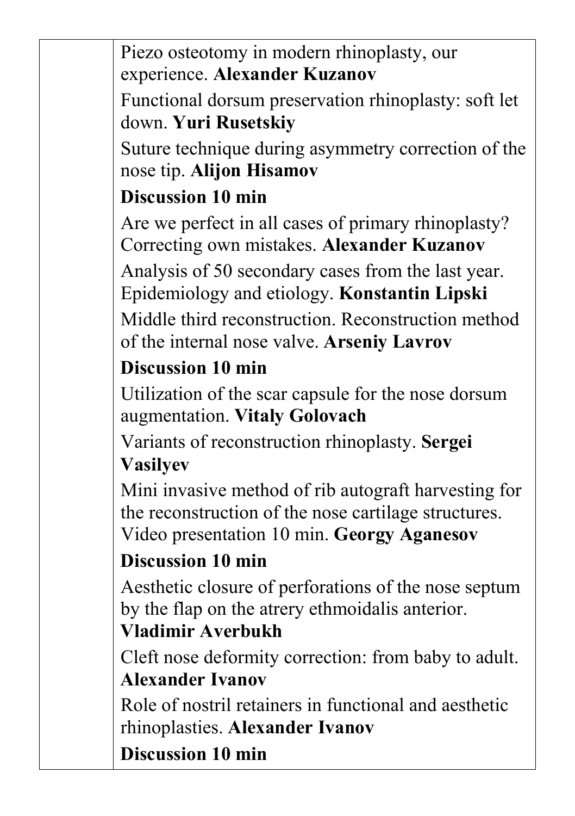Piezo osteotomy in modern rhinoplasty, our experience. **Alexander Kuzanov**

Functional dorsum preservation rhinoplasty: soft let down. **Yuri Rusetskiy**

Suture technique during asymmetry correction of the nose tip. **Alijon Hisamov**

### **Discussion 10 min**

Are we perfect in all cases of primary rhinoplasty? Correcting own mistakes. **Alexander Kuzanov**

Analysis of 50 secondary cases from the last year. Epidemiology and etiology. **Konstantin Lipski**

Middle third reconstruction. Reconstruction method of the internal nose valve. **Arseniy Lavrov**

### **Discussion 10 min**

Utilization of the scar capsule for the nose dorsum augmentation. **Vitaly Golovach**

Variants of reconstruction rhinoplasty. **Sergei Vasilyev**

Mini invasive method of rib autograft harvesting for the reconstruction of the nose cartilage structures. Video presentation 10 min. **Georgy Aganesov**

### **Discussion 10 min**

Aesthetic closure of perforations of the nose septum by the flap on the atrery ethmoidalis anterior.

### **Vladimir Averbukh**

Cleft nose deformity correction: from baby to adult. **Alexander Ivanov**

Role of nostril retainers in functional and aesthetic rhinoplasties. **Alexander Ivanov**

**Discussion 10 min**